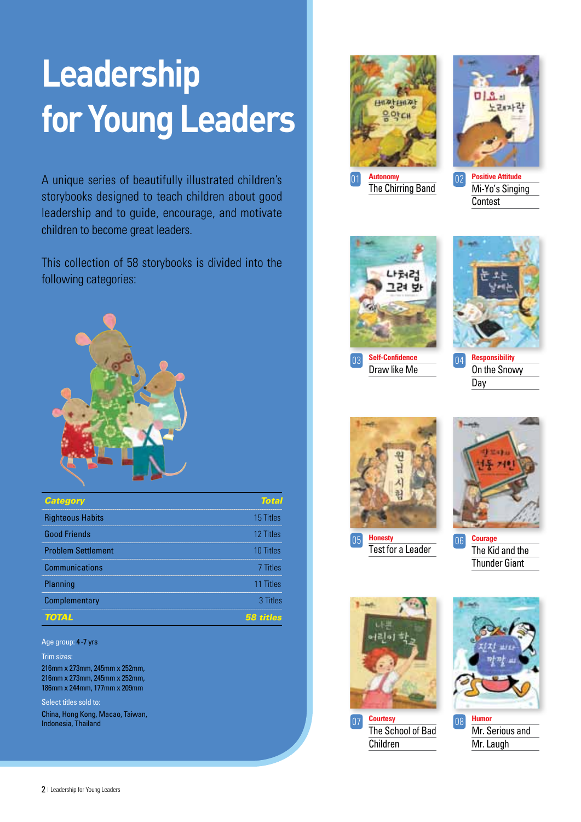## **Leadership for Young Leaders**

A unique series of beautifully illustrated children's storybooks designed to teach children about good leadership and to guide, encourage, and motivate children to become great leaders.

This collection of 58 storybooks is divided into the following categories:



| <b>Category</b>           | Total            |
|---------------------------|------------------|
| <b>Righteous Habits</b>   | 15 Titles        |
| <b>Good Friends</b>       | 12 Titles        |
| <b>Problem Settlement</b> | 10 Titles        |
| <b>Communications</b>     | 7 Titles         |
| Planning                  | 11 Titles        |
| <b>Complementary</b>      | 3 Titles         |
| TOTAL                     | <b>58 titles</b> |

## Age group: 4 -7 yrs

## Trim sizes:

216mm x 273mm, 245mm x 252mm, 216mm x 273mm, 245mm x 252mm, 186mm x 244mm, 177mm x 209mm

Select titles sold to: China, Hong Kong, Macao, Taiwan, Indonesia, Thailand









**Responsibility** On the Snowy Day





The Kid and the Thunder Giant



Children

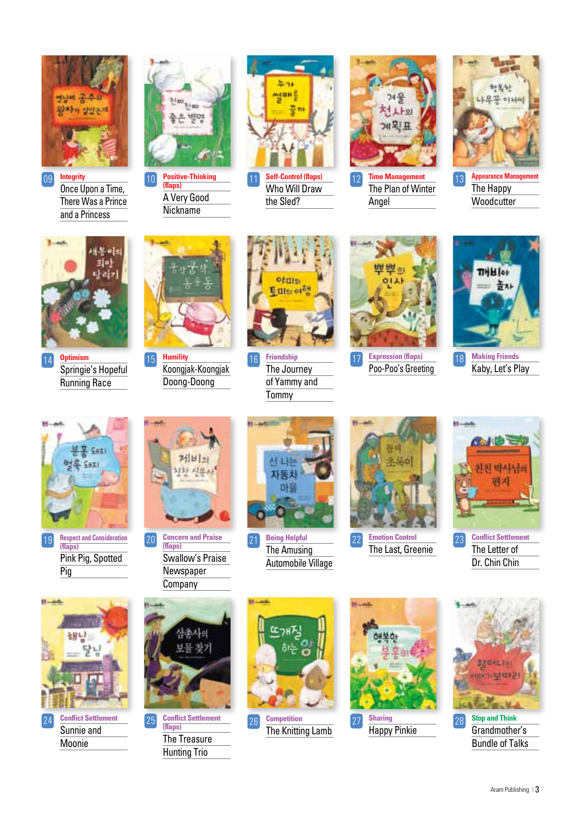

**Integrity** Once Upon a Time, There Was a Prince and a Princess



**(flaps)** A Very Good **Nickname** 10 **Positive-Thinking** 11 **Self-Control (flaps)** 



**Positive-Thinking 11 Self-Control (flaps) 12 Time Management** 13 Who Will Draw the Sled?



The Plan of Winter Angel

 $\boxed{12}$ 



09 **Integrity 10 Positive-Thinking 11 Self-Control (flaps) 12 Time Management 13 Appearance Management 13 Appearance Management** The Happy **Woodcutter** 



**Optimism** Springie's Hopeful Running Race 14 **Optimism 15 Humility** 



Koongjak-Koongjak Doong-Doong



The Journey of Yammy and **Tommy** 



15 **Humility** 18 **Friendship** 17 **Expression (flaps)** 18 Making Friends Poo-Poo's Greeting



Kaby, Let's Play



19 **Respect and Consideration** 20 **Concern and Praise** 21 **Being Helpful** 22 **Emotion Control (flaps)** Pink Pig, Spotted Pig



**Conflict Settlement** Sunnie and Moonie 24 **Conflict Settlement** 25 **Conflict Settlement** 26 **Competition** 27 **Sharing** 



**Concern and Praise** 21 **(flaps)** Swallow's Praise **Newspaper** Company 20



**(flaps)** The Treasure Hunting Trio 25



**Being Helpful** The Amusing Automobile Village



The Last, Greenie 22 **Emotion Control 23 Conflict Settlement** 



The Letter of Dr. Chin Chin



**Competition** The Knitting Lamb



Happy Pinkie

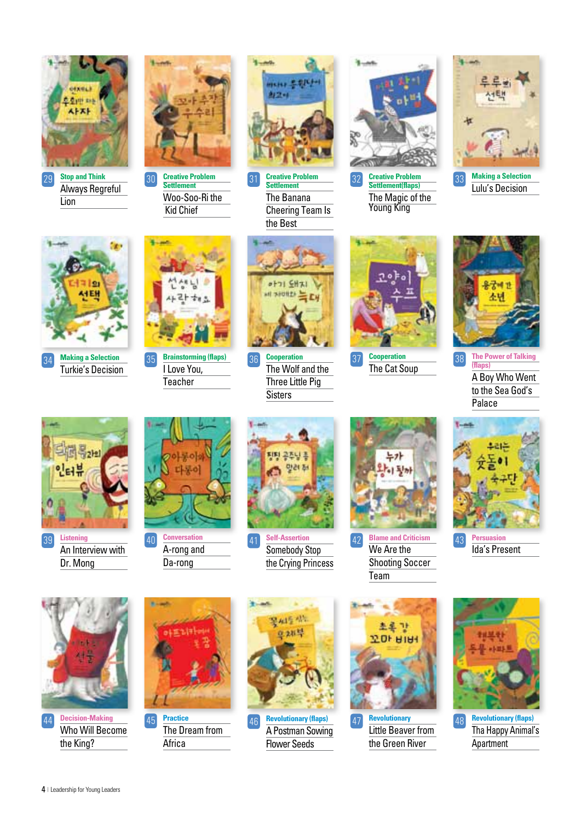

**Stop and Think** Always Regreful Lion 29 **Making a Selection** 33 **Creative Problem** 30 **Creative Problem Settlement** 31 **Creative Problem** 



**Settlement** Woo-Soo-Ri the Kid Chief



The Banana Cheering Team Is the Best



**Creative Problem**<br>Settlement(flaps) The Magic of the Young King 32



Lulu's Decision



**Making a Selection** 34 **Brainstorming (flaps)** Turkie's Decision



I Love You, **Teacher 35 Brainstorming (flaps)** 36 **Cooperation** 37



The Wolf and the Three Little Pig Sisters 36



The Cat Soup 38 **Cooperation**



**38** The Power of Talking **(flaps)** A Boy Who Went to the Sea God's **Palace** 



**Listening** An Interview with Dr. Mong 39 **Listening Conversation** (40 **Conversation** (41 **Self-Assertion** (42 **Blame and Criticism** 



**Conversation** 41 A-rong and Da-rong 40



Somebody Stop the Crying Princess



We Are the Shooting Soccer Team 42 **Persuasion** 43 **Self-Assertion**



Ida's Present



**Decision-Making** Who Will Become the King? 44 **Revolutionary** 48 **Revolutionary (flaps)**



46 **Practice** The Dream from Africa 45



A Postman Sowing Flower Seeds



Little Beaver from the Green River 47 **Revolutionary (flaps)**



Tha Happy Animal's **Apartment**